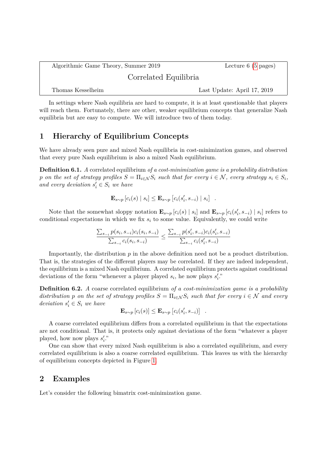Algorithmic Game Theory, Summer 2019 Lecture 6 [\(5](#page-4-0) pages) Correlated Equilibria Thomas Kesselheim Last Update: April 17, 2019

In settings where Nash equilibria are hard to compute, it is at least questionable that players will reach them. Fortunately, there are other, weaker equilibrium concepts that generalize Nash equilibria but are easy to compute. We will introduce two of them today.

# **1 Hierarchy of Equilibrium Concepts**

We have already seen pure and mixed Nash equilibria in cost-minimization games, and observed that every pure Nash equilibrium is also a mixed Nash equilibrium.

**Definition 6.1.** *A* correlated equilibrium *of a cost-minimization game is a probability distribution p on the set of strategy profiles*  $S = \prod_{i \in \mathcal{N}} S_i$  *such that for every*  $i \in \mathcal{N}$ *, every strategy*  $s_i \in S_i$ *, and every deviation*  $s_i' \in S_i$  *we have* 

$$
\mathbf{E}_{s \sim p} [c_i(s) | s_i] \leq \mathbf{E}_{s \sim p} [c_i(s'_i, s_{-i}) | s_i] .
$$

Note that the somewhat sloppy notation  $\mathbf{E}_{s\sim p}[c_i(s) | s_i]$  and  $\mathbf{E}_{s\sim p}[c_i(s'_i, s_{-i}) | s_i]$  refers to conditional expectations in which we fix *s<sup>i</sup>* to some value. Equivalently, we could write

$$
\frac{\sum_{s_{-i}} p(s_i, s_{-i}) c_i(s_i, s_{-i})}{\sum_{s_{-i}} c_i(s_i, s_{-i})} \le \frac{\sum_{s_{-i}} p(s'_i, s_{-i}) c_i(s'_i, s_{-i})}{\sum_{s_{-i}} c_i(s'_i, s_{-i})}
$$

Importantly, the distribution *p* in the above definition need not be a product distribution. That is, the strategies of the different players may be correlated. If they are indeed independent, the equilibrium is a mixed Nash equilibrium. A correlated equilibrium protects against conditional deviations of the form "whenever a player played  $s_i$ , he now plays  $s'_i$ ."

**Definition 6.2.** *A* coarse correlated equilibrium *of a cost-minimization game is a probability distribution p on the set of strategy profiles*  $S = \prod_{i \in \mathcal{N}} S_i$  *such that for every*  $i \in \mathcal{N}$  *and every deviation*  $s_i' \in S_i$  *we have* 

$$
\mathbf{E}_{s \sim p} [c_i(s)] \leq \mathbf{E}_{s \sim p} [c_i(s'_i, s_{-i})].
$$

A coarse correlated equilibrium differs from a correlated equilibrium in that the expectations are not conditional. That is, it protects only against deviations of the form "whatever a player played, how now plays  $s_i'$ ."

One can show that every mixed Nash equilibrium is also a correlated equilibrium, and every correlated equilibrium is also a coarse correlated equilibrium. This leaves us with the hierarchy of equilibrium concepts depicted in Figure [1.](#page-1-0)

## **2 Examples**

Let's consider the following bimatrix cost-minimization game.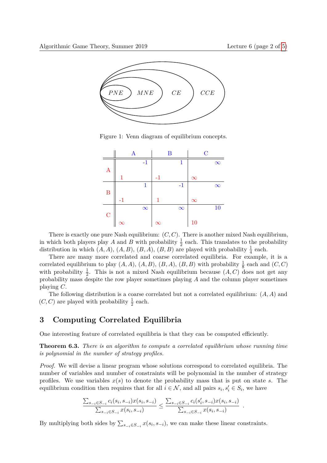

<span id="page-1-0"></span>Figure 1: Venn diagram of equilibrium concepts.

|                  |          | $\mathbf A$ |          | $\bf{B}$ |          | $\overline{C}$ |          |
|------------------|----------|-------------|----------|----------|----------|----------------|----------|
|                  |          | $-1$        |          | 1        |          |                | $\infty$ |
| $\boldsymbol{A}$ |          |             |          |          |          |                |          |
|                  |          |             | $-1$     |          | $\infty$ |                |          |
|                  |          | 1           |          | $-1$     |          |                | $\infty$ |
| $\mathbf{B}$     |          |             |          |          |          |                |          |
|                  | -1       |             | 1        |          | $\infty$ |                |          |
|                  |          | $\infty$    |          | $\infty$ |          |                | 10       |
| $\mathcal{C}$    |          |             |          |          |          |                |          |
|                  | $\infty$ |             | $\infty$ |          | 10       |                |          |

There is exactly one pure Nash equilibrium: (*C, C*). There is another mixed Nash equilibrium, in which both players play *A* and *B* with probability  $\frac{1}{2}$  each. This translates to the probability distribution in which  $(A, A)$ ,  $(A, B)$ ,  $(B, A)$ ,  $(B, B)$  are played with probability  $\frac{1}{4}$  each.

There are many more correlated and coarse correlated equilibria. For example, it is a correlated equilibrium to play  $(A, A), (A, B), (B, A), (B, B)$  with probability  $\frac{1}{8}$  each and  $(C, C)$ with probability  $\frac{1}{2}$ . This is not a mixed Nash equilibrium because  $(A, C)$  does not get any probability mass despite the row player sometimes playing *A* and the column player sometimes playing *C*.

The following distribution is a coarse correlated but not a correlated equilibrium: (*A, A*) and  $(C, C)$  are played with probability  $\frac{1}{2}$  each.

# **3 Computing Correlated Equilibria**

One interesting feature of correlated equilibria is that they can be computed efficiently.

**Theorem 6.3.** *There is an algorithm to compute a correlated equilibrium whose running time is polynomial in the number of strategy profiles.*

*Proof.* We will devise a linear program whose solutions correspond to correlated equilibria. The number of variables and number of constraints will be polynomial in the number of strategy profiles. We use variables  $x(s)$  to denote the probability mass that is put on state *s*. The equilibrium condition then requires that for all  $i \in \mathcal{N}$ , and all pairs  $s_i, s'_i \in S_i$ , we have

$$
\frac{\sum_{s_{-i}\in S_{-i}}c_i(s_i,s_{-i})x(s_i,s_{-i})}{\sum_{s_{-i}\in S_{-i}}x(s_i,s_{-i})}\leq \frac{\sum_{s_{-i}\in S_{-i}}c_i(s'_i,s_{-i})x(s_i,s_{-i})}{\sum_{s_{-i}\in S_{-i}}x(s_i,s_{-i})}.
$$

By multiplying both sides by  $\sum_{s_{-i} \in S_{-i}} x(s_i, s_{-i})$ , we can make these linear constraints.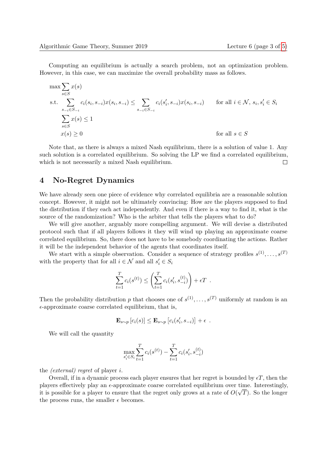Computing an equilibrium is actually a search problem, not an optimization problem. However, in this case, we can maximize the overall probability mass as follows.

$$
\max \sum_{s \in S} x(s)
$$
\n
$$
\text{s.t.} \sum_{\substack{s_{-i} \in S_{-i}}} c_i(s_i, s_{-i}) x(s_i, s_{-i}) \le \sum_{s_{-i} \in S_{-i}} c_i(s'_i, s_{-i}) x(s_i, s_{-i}) \qquad \text{for all } i \in \mathcal{N}, s_i, s'_i \in S_i
$$
\n
$$
\sum_{s \in S} x(s) \le 1
$$
\n
$$
x(s) \ge 0 \qquad \text{for all } s \in S
$$

Note that, as there is always a mixed Nash equilibrium, there is a solution of value 1. Any such solution is a correlated equilibrium. So solving the LP we find a correlated equilibrium, which is not necessarily a mixed Nash equilibrium.  $\Box$ 

### **4 No-Regret Dynamics**

We have already seen one piece of evidence why correlated equilibria are a reasonable solution concept. However, it might not be ultimately convincing: How are the players supposed to find the distribution if they each act independently. And even if there is a way to find it, what is the source of the randomization? Who is the arbiter that tells the players what to do?

We will give another, arguably more compelling argument. We will devise a distributed protocol such that if all players follows it they will wind up playing an approximate coarse correlated equilibrium. So, there does not have to be somebody coordinating the actions. Rather it will be the independent behavior of the agents that coordinates itself.

We start with a simple observation. Consider a sequence of strategy profiles  $s^{(1)}, \ldots, s^{(T)}$ with the property that for all  $i \in \mathcal{N}$  and all  $s'_i \in S_i$ 

$$
\sum_{t=1}^{T} c_i(s^{(t)}) \le \left(\sum_{t=1}^{T} c_i(s'_i, s_{-i}^{(t)})\right) + \epsilon T.
$$

Then the probability distribution *p* that chooses one of  $s^{(1)}, \ldots, s^{(T)}$  uniformly at random is an  $\epsilon$ -approximate coarse correlated equilibrium, that is,

$$
\mathbf{E}_{s \sim p} [c_i(s)] \leq \mathbf{E}_{s \sim p} [c_i(s'_i, s_{-i})] + \epsilon .
$$

We will call the quantity

$$
\max_{s_i' \in S_i} \sum_{t=1}^T c_i(s^{(t)}) - \sum_{t=1}^T c_i(s_i', s_{-i}^{(t)})
$$

the *(external) regret* of player *i*.

Overall, if in a dynamic process each player ensures that her regret is bounded by  $\epsilon T$ , then the players effectively play an  $\epsilon$ -approximate coarse correlated equilibrium over time. Interestingly, it is possible for a player to ensure that the regret only grows at a rate of  $O(\sqrt{T})$ . So the longer the process runs, the smaller  $\epsilon$  becomes.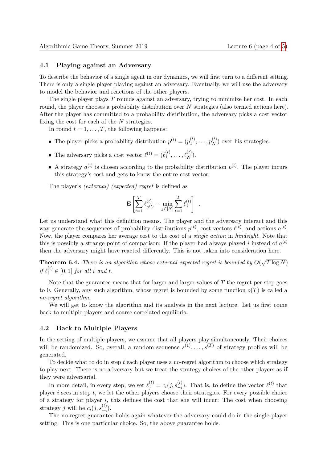#### **4.1 Playing against an Adversary**

To describe the behavior of a single agent in our dynamics, we will first turn to a different setting. There is only a single player playing against an adversary. Eventually, we will use the adversary to model the behavior and reactions of the other players.

The single player plays *T* rounds against an adversary, trying to minimize her cost. In each round, the player chooses a probability distribution over *N* strategies (also termed actions here). After the player has committed to a probability distribution, the adversary picks a cost vector fixing the cost for each of the *N* strategies.

In round  $t = 1, \ldots, T$ , the following happens:

- The player picks a probability distribution  $p^{(t)} = (p_1^{(t)})$  $p_1^{(t)}, \ldots, p_N^{(t)}$  over his strategies.
- The adversary picks a cost vector  $\ell^{(t)} = (\ell_1^{(t)})$  $\ell_{1}^{(t)}, \ldots, \ell_{N}^{(t)}$ ).
- A strategy  $a^{(t)}$  is chosen according to the probability distribution  $p^{(t)}$ . The player incurs this strategy's cost and gets to know the entire cost vector.

The player's *(external) (expected) regret* is defined as

$$
\mathbf{E}\left[\sum_{t=1}^T \ell_{a^{(t)}}^{(t)} - \min_{j\in[N]}\sum_{t=1}^T \ell_j^{(t)}\right] .
$$

Let us understand what this definition means. The player and the adversary interact and this way generate the sequences of probability distributions  $p^{(t)}$ , cost vectors  $\ell^{(t)}$ , and actions  $a^{(t)}$ . Now, the player compares her average cost to the cost of a *single action* in *hindsight*. Note that this is possibly a strange point of comparison: If the player had always played *i* instead of  $a^{(t)}$ then the adversary might have reacted differently. This is not taken into consideration here.

**Theorem 6.4.** *There is an algorithm whose external expected regret is bounded by O*( √  $T\log N)$  $if \ell_i^{(t)} \in [0,1]$  *for all i and t.* 

Note that the guarantee means that for larger and larger values of *T* the regret per step goes to 0. Generally, any such algorithm, whose regret is bounded by some function  $o(T)$  is called a *no-regret algorithm*.

We will get to know the algorithm and its analysis in the next lecture. Let us first come back to multiple players and coarse correlated equilibria.

### **4.2 Back to Multiple Players**

In the setting of multiple players, we assume that all players play simultaneously. Their choices will be randomized. So, overall, a random sequence  $s^{(1)}, \ldots, s^{(T)}$  of strategy profiles will be generated.

To decide what to do in step *t* each player uses a no-regret algorithm to choose which strategy to play next. There is no adversary but we treat the strategy choices of the other players as if they were adversarial.

In more detail, in every step, we set  $\ell_j^{(t)} = c_i(j, s_{-i}^{(t)})$ . That is, to define the vector  $\ell^{(t)}$  that player *i* sees in step *t*, we let the other players choose their strategies. For every possible choice of a strategy for player *i*, this defines the cost that she will incur: The cost when choosing strategy *j* will be  $c_i(j, s_{-i}^{(t)})$ .

The no-regret guarantee holds again whatever the adversary could do in the single-player setting. This is one particular choice. So, the above guarantee holds.